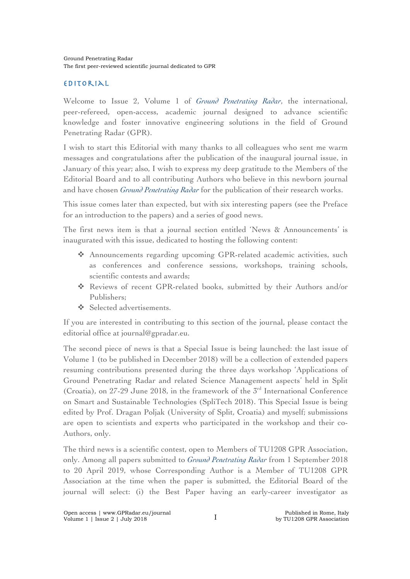## EDITORIAL

Welcome to Issue 2, Volume 1 of *Ground Penetrating Radar*, the international, peer-refereed, open-access, academic journal designed to advance scientific knowledge and foster innovative engineering solutions in the field of Ground Penetrating Radar (GPR).

I wish to start this Editorial with many thanks to all colleagues who sent me warm messages and congratulations after the publication of the inaugural journal issue, in January of this year; also, I wish to express my deep gratitude to the Members of the Editorial Board and to all contributing Authors who believe in this newborn journal and have chosen *Ground Penetrating Radar* for the publication of their research works.

This issue comes later than expected, but with six interesting papers (see the Preface for an introduction to the papers) and a series of good news.

The first news item is that a journal section entitled 'News & Announcements' is inaugurated with this issue, dedicated to hosting the following content:

- v Announcements regarding upcoming GPR-related academic activities, such as conferences and conference sessions, workshops, training schools, scientific contests and awards;
- v Reviews of recent GPR-related books, submitted by their Authors and/or Publishers;
- **❖** Selected advertisements.

If you are interested in contributing to this section of the journal, please contact the editorial office at journal@gpradar.eu.

The second piece of news is that a Special Issue is being launched: the last issue of Volume 1 (to be published in December 2018) will be a collection of extended papers resuming contributions presented during the three days workshop 'Applications of Ground Penetrating Radar and related Science Management aspects' held in Split (Croatia), on  $27-29$  June 2018, in the framework of the  $3<sup>rd</sup>$  International Conference on Smart and Sustainable Technologies (SpliTech 2018). This Special Issue is being edited by Prof. Dragan Poljak (University of Split, Croatia) and myself; submissions are open to scientists and experts who participated in the workshop and their co-Authors, only.

The third news is a scientific contest, open to Members of TU1208 GPR Association, only. Among all papers submitted to *Ground Penetrating Radar* from 1 September 2018 to 20 April 2019, whose Corresponding Author is a Member of TU1208 GPR Association at the time when the paper is submitted, the Editorial Board of the journal will select: (i) the Best Paper having an early-career investigator as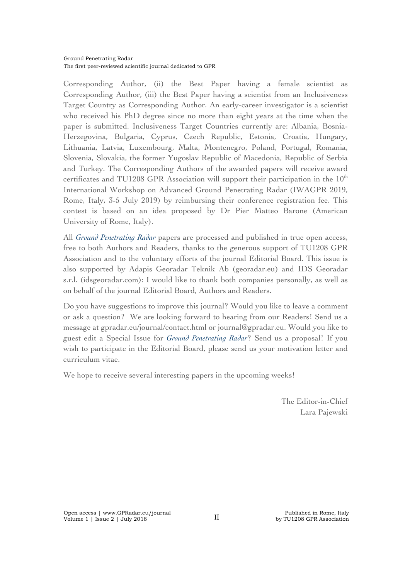Corresponding Author, (ii) the Best Paper having a female scientist as Corresponding Author, (iii) the Best Paper having a scientist from an Inclusiveness Target Country as Corresponding Author. An early-career investigator is a scientist who received his PhD degree since no more than eight years at the time when the paper is submitted. Inclusiveness Target Countries currently are: Albania, Bosnia-Herzegovina, Bulgaria, Cyprus, Czech Republic, Estonia, Croatia, Hungary, Lithuania, Latvia, Luxembourg, Malta, Montenegro, Poland, Portugal, Romania, Slovenia, Slovakia, the former Yugoslav Republic of Macedonia, Republic of Serbia and Turkey. The Corresponding Authors of the awarded papers will receive award certificates and TU1208 GPR Association will support their participation in the  $10<sup>th</sup>$ International Workshop on Advanced Ground Penetrating Radar (IWAGPR 2019, Rome, Italy, 3-5 July 2019) by reimbursing their conference registration fee. This contest is based on an idea proposed by Dr Pier Matteo Barone (American University of Rome, Italy).

All *Ground Penetrating Radar* papers are processed and published in true open access, free to both Authors and Readers, thanks to the generous support of TU1208 GPR Association and to the voluntary efforts of the journal Editorial Board. This issue is also supported by Adapis Georadar Teknik Ab (georadar.eu) and IDS Georadar s.r.l. (idsgeoradar.com): I would like to thank both companies personally, as well as on behalf of the journal Editorial Board, Authors and Readers.

Do you have suggestions to improve this journal? Would you like to leave a comment or ask a question? We are looking forward to hearing from our Readers! Send us a message at gpradar.eu/journal/contact.html or journal@gpradar.eu. Would you like to guest edit a Special Issue for *Ground Penetrating Radar*? Send us a proposal! If you wish to participate in the Editorial Board, please send us your motivation letter and curriculum vitae.

We hope to receive several interesting papers in the upcoming weeks!

The Editor-in-Chief Lara Pajewski

Open access | www.GPRadar.eu/journal Volume 1 | Issue 2 | July 2018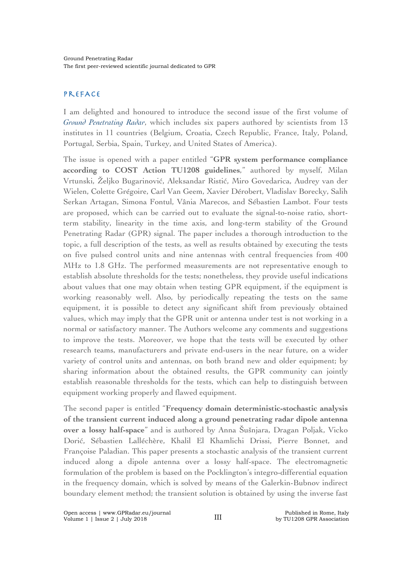## PREFACE

I am delighted and honoured to introduce the second issue of the first volume of *Ground Penetrating Radar*, which includes six papers authored by scientists from 13 institutes in 11 countries (Belgium, Croatia, Czech Republic, France, Italy, Poland, Portugal, Serbia, Spain, Turkey, and United States of America).

The issue is opened with a paper entitled "**GPR system performance compliance according to COST Action TU1208 guidelines**," authored by myself, Milan Vrtunski, Željko Bugarinović, Aleksandar Ristić, Miro Govedarica, Audrey van der Wielen, Colette Grégoire, Carl Van Geem, Xavier Dérobert, Vladislav Borecky, Salih Serkan Artagan, Simona Fontul, Vânia Marecos, and Sébastien Lambot. Four tests are proposed, which can be carried out to evaluate the signal-to-noise ratio, shortterm stability, linearity in the time axis, and long-term stability of the Ground Penetrating Radar (GPR) signal. The paper includes a thorough introduction to the topic, a full description of the tests, as well as results obtained by executing the tests on five pulsed control units and nine antennas with central frequencies from 400 MHz to 1.8 GHz. The performed measurements are not representative enough to establish absolute thresholds for the tests; nonetheless, they provide useful indications about values that one may obtain when testing GPR equipment, if the equipment is working reasonably well. Also, by periodically repeating the tests on the same equipment, it is possible to detect any significant shift from previously obtained values, which may imply that the GPR unit or antenna under test is not working in a normal or satisfactory manner. The Authors welcome any comments and suggestions to improve the tests. Moreover, we hope that the tests will be executed by other research teams, manufacturers and private end-users in the near future, on a wider variety of control units and antennas, on both brand new and older equipment; by sharing information about the obtained results, the GPR community can jointly establish reasonable thresholds for the tests, which can help to distinguish between equipment working properly and flawed equipment.

The second paper is entitled "**Frequency domain deterministic-stochastic analysis of the transient current induced along a ground penetrating radar dipole antenna over a lossy half-space**" and is authored by Anna Šušnjara, Dragan Poljak, Vicko Dorić, Sébastien Lalléchère, Khalil El Khamlichi Drissi, Pierre Bonnet, and Françoise Paladian. This paper presents a stochastic analysis of the transient current induced along a dipole antenna over a lossy half-space. The electromagnetic formulation of the problem is based on the Pocklington's integro-differential equation in the frequency domain, which is solved by means of the Galerkin-Bubnov indirect boundary element method; the transient solution is obtained by using the inverse fast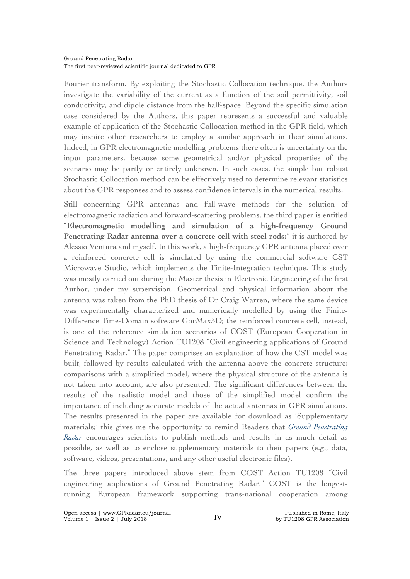## Ground Penetrating Radar The first peer-reviewed scientific journal dedicated to GPR

Fourier transform. By exploiting the Stochastic Collocation technique, the Authors investigate the variability of the current as a function of the soil permittivity, soil conductivity, and dipole distance from the half-space. Beyond the specific simulation case considered by the Authors, this paper represents a successful and valuable example of application of the Stochastic Collocation method in the GPR field, which may inspire other researchers to employ a similar approach in their simulations. Indeed, in GPR electromagnetic modelling problems there often is uncertainty on the input parameters, because some geometrical and/or physical properties of the scenario may be partly or entirely unknown. In such cases, the simple but robust Stochastic Collocation method can be effectively used to determine relevant statistics about the GPR responses and to assess confidence intervals in the numerical results.

Still concerning GPR antennas and full-wave methods for the solution of electromagnetic radiation and forward-scattering problems, the third paper is entitled "**Electromagnetic modelling and simulation of a high-frequency Ground Penetrating Radar antenna over a concrete cell with steel rods**;" it is authored by Alessio Ventura and myself. In this work, a high-frequency GPR antenna placed over a reinforced concrete cell is simulated by using the commercial software CST Microwave Studio, which implements the Finite-Integration technique. This study was mostly carried out during the Master thesis in Electronic Engineering of the first Author, under my supervision. Geometrical and physical information about the antenna was taken from the PhD thesis of Dr Craig Warren, where the same device was experimentally characterized and numerically modelled by using the Finite-Difference Time-Domain software GprMax3D; the reinforced concrete cell, instead, is one of the reference simulation scenarios of COST (European Cooperation in Science and Technology) Action TU1208 "Civil engineering applications of Ground Penetrating Radar." The paper comprises an explanation of how the CST model was built, followed by results calculated with the antenna above the concrete structure; comparisons with a simplified model, where the physical structure of the antenna is not taken into account, are also presented. The significant differences between the results of the realistic model and those of the simplified model confirm the importance of including accurate models of the actual antennas in GPR simulations. The results presented in the paper are available for download as 'Supplementary materials;' this gives me the opportunity to remind Readers that *Ground Penetrating Radar* encourages scientists to publish methods and results in as much detail as possible, as well as to enclose supplementary materials to their papers (e.g., data, software, videos, presentations, and any other useful electronic files).

The three papers introduced above stem from COST Action TU1208 "Civil engineering applications of Ground Penetrating Radar." COST is the longestrunning European framework supporting trans-national cooperation among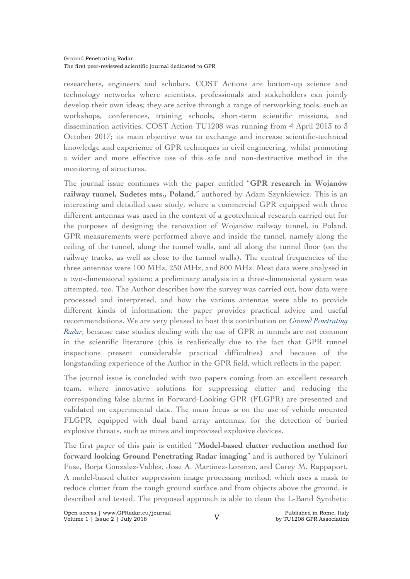## Ground Penetrating Radar The first peer-reviewed scientific journal dedicated to GPR

researchers, engineers and scholars. COST Actions are bottom-up science and technology networks where scientists, professionals and stakeholders can jointly develop their own ideas; they are active through a range of networking tools, such as workshops, conferences, training schools, short-term scientific missions, and dissemination activities. COST Action TU1208 was running from 4 April 2013 to 3 October 2017; its main objective was to exchange and increase scientific-technical knowledge and experience of GPR techniques in civil engineering, whilst promoting a wider and more effective use of this safe and non-destructive method in the monitoring of structures.

The journal issue continues with the paper entitled "**GPR research in Wojanów railway tunnel, Sudetes mts., Poland**," authored by Adam Szynkiewicz. This is an interesting and detailled case study, where a commercial GPR equipped with three different antennas was used in the context of a geotechnical research carried out for the purposes of designing the renovation of Wojanów railway tunnel, in Poland. GPR measurements were performed above and inside the tunnel, namely along the ceiling of the tunnel, along the tunnel walls, and all along the tunnel floor (on the railway tracks, as well as close to the tunnel walls). The central frequencies of the three antennas were 100 MHz, 250 MHz, and 800 MHz. Most data were analysed in a two-dimensional system; a preliminary analysis in a three-dimensional system was attempted, too. The Author describes how the survey was carried out, how data were processed and interpreted, and how the various antennas were able to provide different kinds of information; the paper provides practical advice and useful recommendations. We are very pleased to host this contribution on *Ground Penetrating Radar*, because case studies dealing with the use of GPR in tunnels are not common in the scientific literature (this is realistically due to the fact that GPR tunnel inspections present considerable practical difficulties) and because of the longstanding experience of the Author in the GPR field, which reflects in the paper.

The journal issue is concluded with two papers coming from an excellent research team, where innovative solutions for suppressing clutter and reducing the corresponding false alarms in Forward-Looking GPR (FLGPR) are presented and validated on experimental data. The main focus is on the use of vehicle mounted FLGPR, equipped with dual band array antennas, for the detection of buried explosive threats, such as mines and improvised explosive devices.

The first paper of this pair is entitled "**Model-based clutter reduction method for forward looking Ground Penetrating Radar imaging**" and is authored by Yukinori Fuse, Borja Gonzalez-Valdes, Jose A. Martinez-Lorenzo, and Carey M. Rappaport. A model-based clutter suppression image processing method, which uses a mask to reduce clutter from the rough ground surface and from objects above the ground, is described and tested. The proposed approach is able to clean the L-Band Synthetic